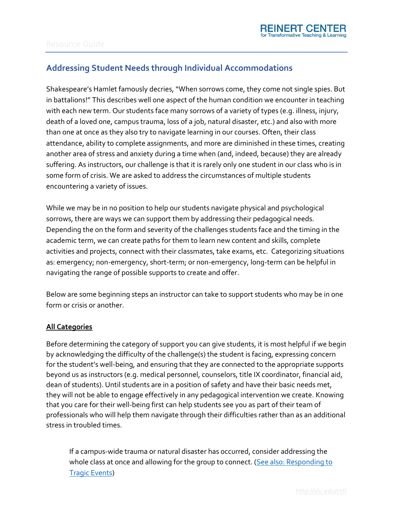## **Addressing Student Needs through Individual Accommodations**

Shakespeare's Hamlet famously decries, "When sorrows come, they come not single spies. But in battalions!" This describes well one aspect of the human condition we encounter in teaching with each new term. Our students face many sorrows of a variety of types (e.g. illness, injury, death of a loved one, campus trauma, loss of a job, natural disaster, etc.) and also with more than one at once as they also try to navigate learning in our courses. Often, their class attendance, ability to complete assignments, and more are diminished in these times, creating another area of stress and anxiety during a time when (and, indeed, because) they are already suffering. As instructors, our challenge is that it is rarely only one student in our class who is in some form of crisis. We are asked to address the circumstances of multiple students encountering a variety of issues.

While we may be in no position to help our students navigate physical and psychological sorrows, there are ways we can support them by addressing their pedagogical needs. Depending the on the form and severity of the challenges students face and the timing in the academic term, we can create paths for them to learn new content and skills, complete activities and projects, connect with their classmates, take exams, etc. Categorizing situations as: emergency; non-emergency, short-term; or non-emergency, long-term can be helpful in navigating the range of possible supports to create and offer.

Below are some beginning steps an instructor can take to support students who may be in one form or crisis or another.

### **All Categories**

Before determining the category of support you can give students, it is most helpful if we begin by acknowledging the difficulty of the challenge(s) the student is facing, expressing concern for the student's well-being, and ensuring that they are connected to the appropriate supports beyond us as instructors (e.g. medical personnel, counselors, title IX coordinator, financial aid, dean of students). Until students are in a position of safety and have their basic needs met, they will not be able to engage effectively in any pedagogical intervention we create. Knowing that you care for their well-being first can help students see you as part of their team of professionals who will help them navigate through their difficulties rather than as an additional stress in troubled times.

If a campus-wide trauma or natural disaster has occurred, consider addressing the whole class at once and allowing for the group to connect. (See also: Responding to [Tragic Events\)](https://www.slu.edu/cttl/resources/resource-guides/responding_to_tragic_events.pdf)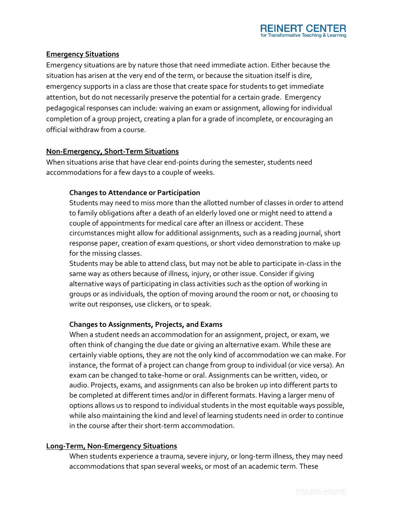

#### **Emergency Situations**

Emergency situations are by nature those that need immediate action. Either because the situation has arisen at the very end of the term, or because the situation itself is dire, emergency supports in a class are those that create space for students to get immediate attention, but do not necessarily preserve the potential for a certain grade. Emergency pedagogical responses can include: waiving an exam or assignment, allowing for individual completion of a group project, creating a plan for a grade of incomplete, or encouraging an official withdraw from a course.

#### **Non-Emergency, Short-Term Situations**

When situations arise that have clear end-points during the semester, students need accommodations for a few days to a couple of weeks.

#### **Changes to Attendance or Participation**

Students may need to miss more than the allotted number of classes in order to attend to family obligations after a death of an elderly loved one or might need to attend a couple of appointments for medical care after an illness or accident. These circumstances might allow for additional assignments, such as a reading journal, short response paper, creation of exam questions, or short video demonstration to make up for the missing classes.

Students may be able to attend class, but may not be able to participate in-class in the same way as others because of illness, injury, or other issue. Consider if giving alternative ways of participating in class activities such as the option of working in groups or as individuals, the option of moving around the room or not, or choosing to write out responses, use clickers, or to speak.

#### **Changes to Assignments, Projects, and Exams**

When a student needs an accommodation for an assignment, project, or exam, we often think of changing the due date or giving an alternative exam. While these are certainly viable options, they are not the only kind of accommodation we can make. For instance, the format of a project can change from group to individual (or vice versa). An exam can be changed to take-home or oral. Assignments can be written, video, or audio. Projects, exams, and assignments can also be broken up into different parts to be completed at different times and/or in different formats. Having a larger menu of options allows us to respond to individual students in the most equitable ways possible, while also maintaining the kind and level of learning students need in order to continue in the course after their short-term accommodation.

#### **Long-Term, Non-Emergency Situations**

When students experience a trauma, severe injury, or long-term illness, they may need accommodations that span several weeks, or most of an academic term. These